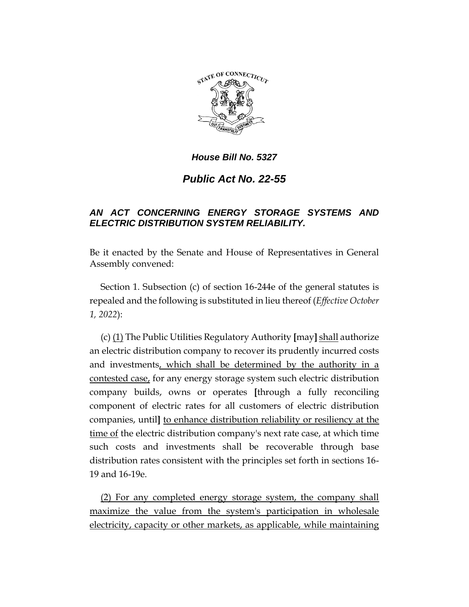

### *House Bill No. 5327*

# *Public Act No. 22-55*

### *AN ACT CONCERNING ENERGY STORAGE SYSTEMS AND ELECTRIC DISTRIBUTION SYSTEM RELIABILITY.*

Be it enacted by the Senate and House of Representatives in General Assembly convened:

Section 1. Subsection (c) of section 16-244e of the general statutes is repealed and the following is substituted in lieu thereof (*Effective October 1, 2022*):

(c) (1) The Public Utilities Regulatory Authority **[**may**]** shall authorize an electric distribution company to recover its prudently incurred costs and investments, which shall be determined by the authority in a contested case, for any energy storage system such electric distribution company builds, owns or operates **[**through a fully reconciling component of electric rates for all customers of electric distribution companies, until**]** to enhance distribution reliability or resiliency at the time of the electric distribution company's next rate case, at which time such costs and investments shall be recoverable through base distribution rates consistent with the principles set forth in sections 16- 19 and 16-19e.

(2) For any completed energy storage system, the company shall maximize the value from the system's participation in wholesale electricity, capacity or other markets, as applicable, while maintaining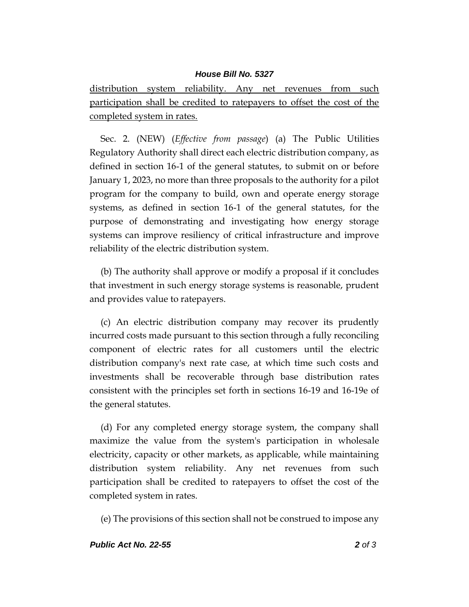#### *House Bill No. 5327*

distribution system reliability. Any net revenues from such participation shall be credited to ratepayers to offset the cost of the completed system in rates.

Sec. 2. (NEW) (*Effective from passage*) (a) The Public Utilities Regulatory Authority shall direct each electric distribution company, as defined in section 16-1 of the general statutes, to submit on or before January 1, 2023, no more than three proposals to the authority for a pilot program for the company to build, own and operate energy storage systems, as defined in section 16-1 of the general statutes, for the purpose of demonstrating and investigating how energy storage systems can improve resiliency of critical infrastructure and improve reliability of the electric distribution system.

(b) The authority shall approve or modify a proposal if it concludes that investment in such energy storage systems is reasonable, prudent and provides value to ratepayers.

(c) An electric distribution company may recover its prudently incurred costs made pursuant to this section through a fully reconciling component of electric rates for all customers until the electric distribution company's next rate case, at which time such costs and investments shall be recoverable through base distribution rates consistent with the principles set forth in sections 16-19 and 16-19e of the general statutes.

(d) For any completed energy storage system, the company shall maximize the value from the system's participation in wholesale electricity, capacity or other markets, as applicable, while maintaining distribution system reliability. Any net revenues from such participation shall be credited to ratepayers to offset the cost of the completed system in rates.

(e) The provisions of this section shall not be construed to impose any